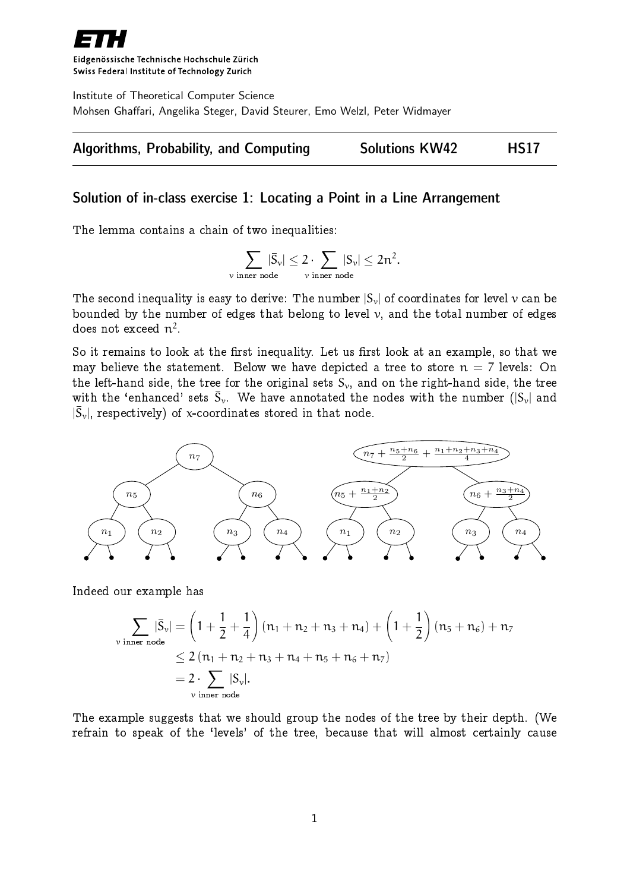

Eidgenössische Technische Hochschule Zürich Swiss Federal Institute of Technology Zurich

Institute of Theoretical Computer Science Mohsen Ghaffari, Angelika Steger, David Steurer, Emo Welzl, Peter Widmayer



# Solution of in-class exercise 1: Locating a Point in a Line Arrangement

The lemma contains a chain of two inequalities:

$$
\sum_{\text{$\nu$ inner node}} |\bar{S}_\nu| \leq 2 \cdot \sum_{\text{$\nu$ inner node}} |S_\nu| \leq 2n^2.
$$

The second inequality is easy to derive: The number  $|S_{\nu}|$  of coordinates for level  $\nu$  can be bounded by the number of edges that belong to level  $v$ , and the total number of edges does not exceed  $\mathfrak{n}^2.$ 

So it remains to look at the first inequality. Let us first look at an example, so that we may believe the statement. Below we have depicted a tree to store  $n = 7$  levels: On the left-hand side, the tree for the original sets  $S_{\nu}$ , and on the right-hand side, the tree with the 'enhanced' sets  $\bar{S}_\nu.$  We have annotated the nodes with the number  $(|S_\nu|$  and  $|\bar{S}_{\rm v}|$ , respectively) of x-coordinates stored in that node.



Indeed our example has

$$
\sum_{\text{v inner node}} |\bar{S}_{\nu}| = \left(1 + \frac{1}{2} + \frac{1}{4}\right) (n_1 + n_2 + n_3 + n_4) + \left(1 + \frac{1}{2}\right) (n_5 + n_6) + n_7
$$
\n
$$
\leq 2 (n_1 + n_2 + n_3 + n_4 + n_5 + n_6 + n_7)
$$
\n
$$
= 2 \cdot \sum_{\text{v inner node}} |S_{\nu}|.
$$

The example suggests that we should group the nodes of the tree by their depth. (We refrain to speak of the `levels' of the tree, because that will almost certainly cause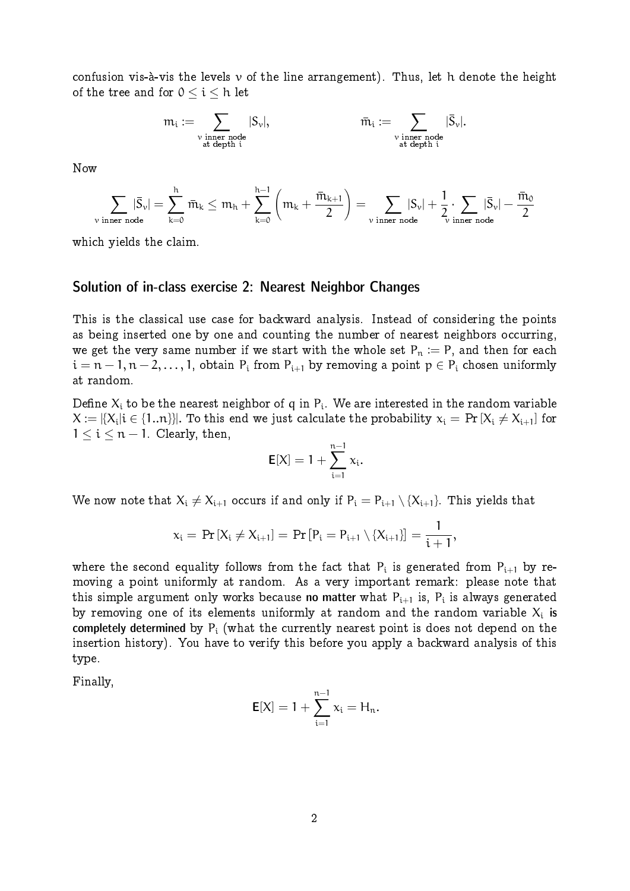confusion vis-à-vis the levels  $\nu$  of the line arrangement). Thus, let h denote the height of the tree and for  $0 \le i \le h$  let

$$
\mathfrak{m}_i := \sum_{\substack{\nu \text{ inner node}\\ \text{at depth } i}} |S_\nu|, \qquad \qquad \bar{\mathfrak{m}}_i := \sum_{\substack{\nu \text{ inner node}\\ \text{at depth } i}} |\bar{S}_\nu|.
$$

Now

$$
\sum_{v \text{ inner node}} |\bar{S}_v| = \sum_{k=0}^h \bar{m}_k \leq m_h + \sum_{k=0}^{h-1} \left( m_k + \frac{\bar{m}_{k+1}}{2} \right) = \sum_{v \text{ inner node}} |S_v| + \frac{1}{2} \cdot \sum_{v \text{ inner node}} |\bar{S}_v| - \frac{\bar{m}_0}{2}
$$

which yields the claim.

#### Solution of in-class exercise 2: Nearest Neighbor Changes

This is the classical use case for backward analysis. Instead of considering the points as being inserted one by one and counting the number of nearest neighbors occurring, we get the very same number if we start with the whole set  $P_n := P$ , and then for each  $i = n-1, n-2, \ldots, 1$ , obtain  $P_i$  from  $P_{i+1}$  by removing a point  $p \in P_i$  chosen uniformly at random.

Define  $\mathsf{X}_\mathfrak{i}$  to be the nearest neighbor of  $\mathfrak{q}$  in  $\mathsf{P}_\mathfrak{i}.$  We are interested in the random variable  $\mathsf{X}:=|\{\mathsf{X}_{\mathsf{i}}|\mathsf{i}\in\{1..\mathsf{n}\}\}|.$  To this end we just calculate the probability  $\mathsf{x}_{\mathsf{i}}=\Pr\left[\mathsf{X}_{\mathsf{i}}\neq\mathsf{X}_{\mathsf{i}+1}\right]$  for  $1 \leq i \leq n - 1$ . Clearly, then,

$$
E[X] = 1 + \sum_{i=1}^{n-1} x_i.
$$

We now note that  $X_i \neq X_{i+1}$  occurs if and only if  $P_i = P_{i+1} \setminus \{X_{i+1}\}.$  This yields that

$$
x_i = Pr[X_i \neq X_{i+1}] = Pr[P_i = P_{i+1} \setminus \{X_{i+1}\}] = \frac{1}{i+1},
$$

where the second equality follows from the fact that  $\mathsf{P}_\text{i}$  is generated from  $\mathsf{P}_\text{i+1}$  by removing a point uniformly at random. As a very important remark: please note that this simple argument only works because **no matter** what  $\mathsf{P_{i+1}}$  is,  $\mathsf{P_{i}}$  is always generated by removing one of its elements uniformly at random and the random variable  $\mathsf{X}_\mathfrak{i}$  is completely determined by  $P_i$  (what the currently nearest point is does not depend on the insertion history). You have to verify this before you apply a backward analysis of this type.

Finally,

$$
E[X] = 1 + \sum_{i=1}^{n-1} x_i = H_n.
$$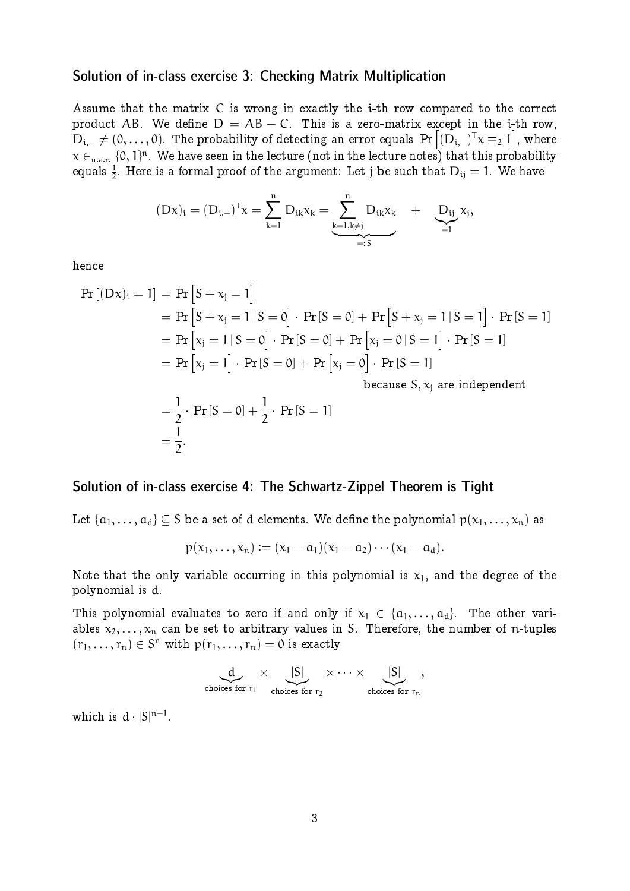### Solution of in-class exercise 3: Checking Matrix Multiplication

Assume that the matrix C is wrong in exactly the i-th row compared to the correct product AB. We define  $D = AB - C$ . This is a zero-matrix except in the i-th row,  ${\rm D_{i,-}}\neq (0,\ldots,0).$  The probability of detecting an error equals  $\Pr\left[({\rm D_{i,-}})^\textsf{T} \chi \equiv_2 1\right],$  where  $\chi \in _{\text{u.a.r.}} \{ 0, 1 \}^{\text{n}}.$  We have seen in the lecture (not in the lecture notes) that this probability equals  $\frac{1}{2}.$  Here is a formal proof of the argument: Let j be such that  $\rm D_{ij}=1.$  We have

$$
(Dx)_i=(D_{i,-})^Tx=\sum_{k=1}^nD_{ik}x_k=\underbrace{\sum_{k=1,k\neq j}^nD_{ik}x_k}_{=:S}~~+\underbrace{D_{ij}}_{=1}x_j,
$$

hence

$$
\Pr\left[(Dx)_i = 1\right] = \Pr\left[S + x_j = 1\right] \\
= \Pr\left[S + x_j = 1 \mid S = 0\right] \cdot \Pr\left[S = 0\right] + \Pr\left[S + x_j = 1 \mid S = 1\right] \cdot \Pr\left[S = 1\right] \\
= \Pr\left[x_j = 1 \mid S = 0\right] \cdot \Pr\left[S = 0\right] + \Pr\left[x_j = 0 \mid S = 1\right] \cdot \Pr\left[S = 1\right] \\
= \Pr\left[x_j = 1\right] \cdot \Pr\left[S = 0\right] + \Pr\left[x_j = 0\right] \cdot \Pr\left[S = 1\right] \\
because S, x_j \text{ are independent} \\
= \frac{1}{2} \cdot \Pr\left[S = 0\right] + \frac{1}{2} \cdot \Pr\left[S = 1\right] \\
= \frac{1}{2}.
$$

### Solution of in-class exercise 4: The Schwartz-Zippel Theorem is Tight

Let  $\{a_1,\ldots,a_d\}\subseteq S$  be a set of  $d$  elements. We define the polynomial  $p(x_1,\ldots,x_n)$  as

$$
p(x_1,...,x_n) := (x_1 - a_1)(x_1 - a_2) \cdots (x_1 - a_d).
$$

Note that the only variable occurring in this polynomial is  $x_1$ , and the degree of the polynomial is d.

This polynomial evaluates to zero if and only if  $x_1 \in \{a_1, \ldots, a_d\}$ . The other variables  $x_2, \ldots, x_n$  can be set to arbitrary values in S. Therefore, the number of n-tuples  $(r_1,\ldots,r_n)\in S^n$  with  $p(r_1,\ldots,r_n)=0$  is exactly

$$
\underbrace{d}_{\text{choices for } r_1} \times \underbrace{|S|}_{\text{choices for } r_2} \times \cdots \times \underbrace{|S|}_{\text{choices for } r_n},
$$

which is  $d |S|^{n-1}$ .